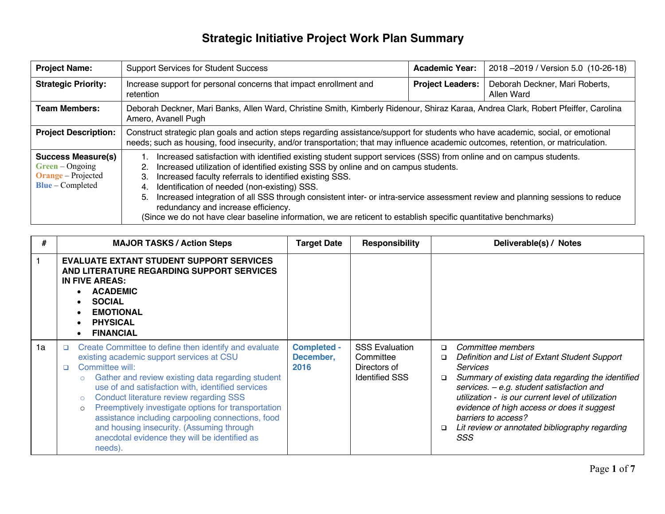| <b>Project Name:</b>                                                                              | <b>Support Services for Student Success</b>                                                                                                                                                                                                                                                                                                                                                                                                                                                                                                                                                                                             | <b>Academic Year:</b>   | 2018 - 2019 / Version 5.0 (10-26-18)         |  |  |  |
|---------------------------------------------------------------------------------------------------|-----------------------------------------------------------------------------------------------------------------------------------------------------------------------------------------------------------------------------------------------------------------------------------------------------------------------------------------------------------------------------------------------------------------------------------------------------------------------------------------------------------------------------------------------------------------------------------------------------------------------------------------|-------------------------|----------------------------------------------|--|--|--|
| <b>Strategic Priority:</b>                                                                        | Increase support for personal concerns that impact enrollment and<br>retention                                                                                                                                                                                                                                                                                                                                                                                                                                                                                                                                                          | <b>Project Leaders:</b> | Deborah Deckner, Mari Roberts,<br>Allen Ward |  |  |  |
| <b>Team Members:</b>                                                                              | Deborah Deckner, Mari Banks, Allen Ward, Christine Smith, Kimberly Ridenour, Shiraz Karaa, Andrea Clark, Robert Pfeiffer, Carolina<br>Amero, Avanell Pugh                                                                                                                                                                                                                                                                                                                                                                                                                                                                               |                         |                                              |  |  |  |
| <b>Project Description:</b>                                                                       | Construct strategic plan goals and action steps regarding assistance/support for students who have academic, social, or emotional<br>needs; such as housing, food insecurity, and/or transportation; that may influence academic outcomes, retention, or matriculation.                                                                                                                                                                                                                                                                                                                                                                 |                         |                                              |  |  |  |
| <b>Success Measure(s)</b><br>$Green - Ongoing$<br><b>Orange</b> – Projected<br>$Blue$ – Completed | Increased satisfaction with identified existing student support services (SSS) from online and on campus students.<br>Increased utilization of identified existing SSS by online and on campus students.<br>2.<br>Increased faculty referrals to identified existing SSS.<br>3.<br>Identification of needed (non-existing) SSS.<br>4.<br>Increased integration of all SSS through consistent inter- or intra-service assessment review and planning sessions to reduce<br>5.<br>redundancy and increase efficiency.<br>(Since we do not have clear baseline information, we are reticent to establish specific quantitative benchmarks) |                         |                                              |  |  |  |

| #  | <b>MAJOR TASKS / Action Steps</b>                                                                                                                                                                                                                                                                                                                                                                                                                                                                                                         | <b>Target Date</b>                      | <b>Responsibility</b>                                                       | Deliverable(s) / Notes                                                                                                                                                                                                                                                                                                                                                                                               |
|----|-------------------------------------------------------------------------------------------------------------------------------------------------------------------------------------------------------------------------------------------------------------------------------------------------------------------------------------------------------------------------------------------------------------------------------------------------------------------------------------------------------------------------------------------|-----------------------------------------|-----------------------------------------------------------------------------|----------------------------------------------------------------------------------------------------------------------------------------------------------------------------------------------------------------------------------------------------------------------------------------------------------------------------------------------------------------------------------------------------------------------|
|    | <b>EVALUATE EXTANT STUDENT SUPPORT SERVICES</b><br>AND LITERATURE REGARDING SUPPORT SERVICES<br><b>IN FIVE AREAS:</b><br><b>ACADEMIC</b><br><b>SOCIAL</b><br><b>EMOTIONAL</b><br><b>PHYSICAL</b><br><b>FINANCIAL</b>                                                                                                                                                                                                                                                                                                                      |                                         |                                                                             |                                                                                                                                                                                                                                                                                                                                                                                                                      |
| 1a | Create Committee to define then identify and evaluate<br>$\Box$<br>existing academic support services at CSU<br>Committee will:<br>$\Box$<br>Gather and review existing data regarding student<br>$\circ$<br>use of and satisfaction with, identified services<br>Conduct literature review regarding SSS<br>Preemptively investigate options for transportation<br>$\circ$<br>assistance including carpooling connections, food<br>and housing insecurity. (Assuming through<br>anecdotal evidence they will be identified as<br>needs). | <b>Completed -</b><br>December,<br>2016 | <b>SSS Evaluation</b><br>Committee<br>Directors of<br><b>Identified SSS</b> | Committee members<br>$\Box$<br>Definition and List of Extant Student Support<br>$\Box$<br><b>Services</b><br>Summary of existing data regarding the identified<br>$\Box$<br>services. $-$ e.g. student satisfaction and<br>utilization - is our current level of utilization<br>evidence of high access or does it suggest<br>barriers to access?<br>Lit review or annotated bibliography regarding<br>$\Box$<br>SSS |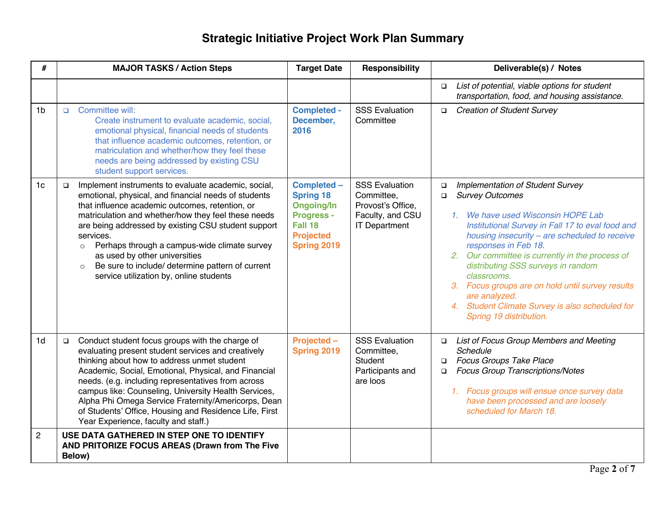| #              | <b>MAJOR TASKS / Action Steps</b>                                                                                                                                                                                                                                                                                                                                                                                                                                                                         | <b>Target Date</b>                                                                                                             | <b>Responsibility</b>                                                                                | Deliverable(s) / Notes                                                                                                                                                                                                                                                                                                                                                                                                                                                                                       |
|----------------|-----------------------------------------------------------------------------------------------------------------------------------------------------------------------------------------------------------------------------------------------------------------------------------------------------------------------------------------------------------------------------------------------------------------------------------------------------------------------------------------------------------|--------------------------------------------------------------------------------------------------------------------------------|------------------------------------------------------------------------------------------------------|--------------------------------------------------------------------------------------------------------------------------------------------------------------------------------------------------------------------------------------------------------------------------------------------------------------------------------------------------------------------------------------------------------------------------------------------------------------------------------------------------------------|
|                |                                                                                                                                                                                                                                                                                                                                                                                                                                                                                                           |                                                                                                                                |                                                                                                      | List of potential, viable options for student<br>$\Box$<br>transportation, food, and housing assistance.                                                                                                                                                                                                                                                                                                                                                                                                     |
| 1 <sub>b</sub> | Committee will:<br>$\Box$<br>Create instrument to evaluate academic, social,<br>emotional physical, financial needs of students<br>that influence academic outcomes, retention, or<br>matriculation and whether/how they feel these<br>needs are being addressed by existing CSU<br>student support services.                                                                                                                                                                                             | <b>Completed -</b><br>December,<br>2016                                                                                        | <b>SSS Evaluation</b><br>Committee                                                                   | <b>Creation of Student Survey</b><br>$\Box$                                                                                                                                                                                                                                                                                                                                                                                                                                                                  |
| 1 <sub>c</sub> | Implement instruments to evaluate academic, social,<br>$\Box$<br>emotional, physical, and financial needs of students<br>that influence academic outcomes, retention, or<br>matriculation and whether/how they feel these needs<br>are being addressed by existing CSU student support<br>services.<br>Perhaps through a campus-wide climate survey<br>$\circ$<br>as used by other universities<br>Be sure to include/ determine pattern of current<br>$\circ$<br>service utilization by, online students | Completed -<br><b>Spring 18</b><br><b>Ongoing/In</b><br><b>Progress -</b><br>Fall 18<br><b>Projected</b><br><b>Spring 2019</b> | <b>SSS Evaluation</b><br>Committee,<br>Provost's Office,<br>Faculty, and CSU<br><b>IT Department</b> | Implementation of Student Survey<br>$\Box$<br><b>Survey Outcomes</b><br>$\Box$<br>1. We have used Wisconsin HOPE Lab<br>Institutional Survey in Fall 17 to eval food and<br>housing insecurity - are scheduled to receive<br>responses in Feb 18.<br>2. Our committee is currently in the process of<br>distributing SSS surveys in random<br>classrooms.<br>3. Focus groups are on hold until survey results<br>are analyzed.<br>4. Student Climate Survey is also scheduled for<br>Spring 19 distribution. |
| 1d             | Conduct student focus groups with the charge of<br>$\Box$<br>evaluating present student services and creatively<br>thinking about how to address unmet student<br>Academic, Social, Emotional, Physical, and Financial<br>needs. (e.g. including representatives from across<br>campus like: Counseling, University Health Services,<br>Alpha Phi Omega Service Fraternity/Americorps, Dean<br>of Students' Office, Housing and Residence Life, First<br>Year Experience, faculty and staff.)             | Projected -<br><b>Spring 2019</b>                                                                                              | <b>SSS Evaluation</b><br>Committee,<br>Student<br>Participants and<br>are loos                       | List of Focus Group Members and Meeting<br>$\Box$<br>Schedule<br><b>Focus Groups Take Place</b><br>$\Box$<br>Focus Group Transcriptions/Notes<br>$\Box$<br>1. Focus groups will ensue once survey data<br>have been processed and are loosely<br>scheduled for March 18.                                                                                                                                                                                                                                     |
| $\overline{c}$ | USE DATA GATHERED IN STEP ONE TO IDENTIFY<br>AND PRITORIZE FOCUS AREAS (Drawn from The Five<br>Below)                                                                                                                                                                                                                                                                                                                                                                                                     |                                                                                                                                |                                                                                                      |                                                                                                                                                                                                                                                                                                                                                                                                                                                                                                              |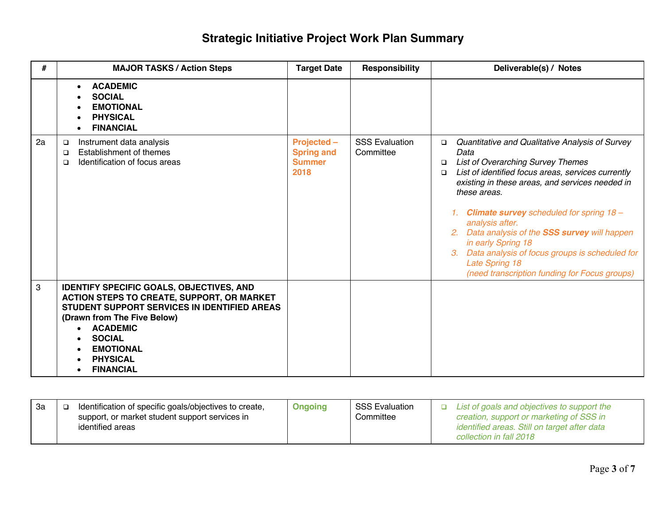| #            | <b>MAJOR TASKS / Action Steps</b>                                                                                                                                                                                                                                           | <b>Target Date</b>                                        | <b>Responsibility</b>              | Deliverable(s) / Notes                                                                                                                                                                                                                                                                                                                                                                                                                                                                                                             |
|--------------|-----------------------------------------------------------------------------------------------------------------------------------------------------------------------------------------------------------------------------------------------------------------------------|-----------------------------------------------------------|------------------------------------|------------------------------------------------------------------------------------------------------------------------------------------------------------------------------------------------------------------------------------------------------------------------------------------------------------------------------------------------------------------------------------------------------------------------------------------------------------------------------------------------------------------------------------|
|              | <b>ACADEMIC</b><br><b>SOCIAL</b><br><b>EMOTIONAL</b><br><b>PHYSICAL</b><br><b>FINANCIAL</b>                                                                                                                                                                                 |                                                           |                                    |                                                                                                                                                                                                                                                                                                                                                                                                                                                                                                                                    |
| 2a           | Instrument data analysis<br>$\Box$<br>Establishment of themes<br>$\Box$<br>Identification of focus areas<br>$\Box$                                                                                                                                                          | Projected -<br><b>Spring and</b><br><b>Summer</b><br>2018 | <b>SSS Evaluation</b><br>Committee | Quantitative and Qualitative Analysis of Survey<br>$\Box$<br>Data<br><b>List of Overarching Survey Themes</b><br>$\Box$<br>List of identified focus areas, services currently<br>$\Box$<br>existing in these areas, and services needed in<br>these areas.<br>1. Climate survey scheduled for spring $18 -$<br>analysis after.<br>2. Data analysis of the SSS survey will happen<br>in early Spring 18<br>Data analysis of focus groups is scheduled for<br><b>Late Spring 18</b><br>(need transcription funding for Focus groups) |
| $\mathbf{3}$ | <b>IDENTIFY SPECIFIC GOALS, OBJECTIVES, AND</b><br>ACTION STEPS TO CREATE, SUPPORT, OR MARKET<br>STUDENT SUPPORT SERVICES IN IDENTIFIED AREAS<br>(Drawn from The Five Below)<br><b>ACADEMIC</b><br><b>SOCIAL</b><br><b>EMOTIONAL</b><br><b>PHYSICAL</b><br><b>FINANCIAL</b> |                                                           |                                    |                                                                                                                                                                                                                                                                                                                                                                                                                                                                                                                                    |

| 3a | Identification of specific goals/objectives to create,<br>support, or market student support services in<br>identified areas | <b>Ongoing</b> | <b>SSS Evaluation</b><br>Committee | List of goals and objectives to support the<br>creation, support or marketing of SSS in<br>identified areas. Still on target after data |
|----|------------------------------------------------------------------------------------------------------------------------------|----------------|------------------------------------|-----------------------------------------------------------------------------------------------------------------------------------------|
|    |                                                                                                                              |                |                                    | collection in fall 2018                                                                                                                 |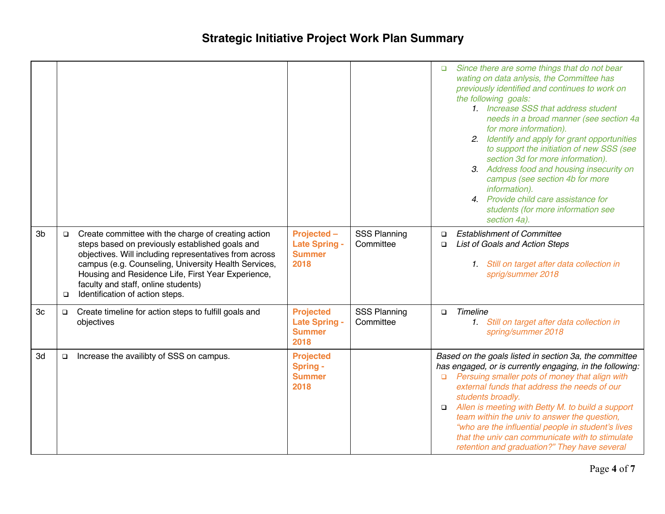|    |                  |                                                                                                                                                                                                                                                                                                                                                          |                                                                   |                                  | Since there are some things that do not bear<br>$\Box$<br>wating on data anlysis, the Committee has<br>previously identified and continues to work on<br>the following goals:<br>1. Increase SSS that address student<br>needs in a broad manner (see section 4a<br>for more information).<br>2. Identify and apply for grant opportunities<br>to support the initiation of new SSS (see<br>section 3d for more information).<br>3. Address food and housing insecurity on<br>campus (see section 4b for more<br>information).<br>4. Provide child care assistance for<br>students (for more information see<br>section 4a). |
|----|------------------|----------------------------------------------------------------------------------------------------------------------------------------------------------------------------------------------------------------------------------------------------------------------------------------------------------------------------------------------------------|-------------------------------------------------------------------|----------------------------------|------------------------------------------------------------------------------------------------------------------------------------------------------------------------------------------------------------------------------------------------------------------------------------------------------------------------------------------------------------------------------------------------------------------------------------------------------------------------------------------------------------------------------------------------------------------------------------------------------------------------------|
| 3b | $\Box$<br>$\Box$ | Create committee with the charge of creating action<br>steps based on previously established goals and<br>objectives. Will including representatives from across<br>campus (e.g. Counseling, University Health Services,<br>Housing and Residence Life, First Year Experience,<br>faculty and staff, online students)<br>Identification of action steps. | Projected -<br><b>Late Spring -</b><br><b>Summer</b><br>2018      | <b>SSS Planning</b><br>Committee | <b>Establishment of Committee</b><br>$\Box$<br>List of Goals and Action Steps<br>$\Box$<br>1. Still on target after data collection in<br>sprig/summer 2018                                                                                                                                                                                                                                                                                                                                                                                                                                                                  |
| 3c | $\Box$           | Create timeline for action steps to fulfill goals and<br>objectives                                                                                                                                                                                                                                                                                      | <b>Projected</b><br><b>Late Spring -</b><br><b>Summer</b><br>2018 | <b>SSS Planning</b><br>Committee | <b>Timeline</b><br>$\Box$<br>1. Still on target after data collection in<br>spring/summer 2018                                                                                                                                                                                                                                                                                                                                                                                                                                                                                                                               |
| 3d | $\Box$           | Increase the availibty of SSS on campus.                                                                                                                                                                                                                                                                                                                 | <b>Projected</b><br><b>Spring -</b><br><b>Summer</b><br>2018      |                                  | Based on the goals listed in section 3a, the committee<br>has engaged, or is currently engaging, in the following:<br>Persuing smaller pots of money that align with<br>$\Box$<br>external funds that address the needs of our<br>students broadly.<br>Allen is meeting with Betty M. to build a support<br>$\Box$<br>team within the univ to answer the question,<br>"who are the influential people in student's lives<br>that the univ can communicate with to stimulate<br>retention and graduation?" They have several                                                                                                  |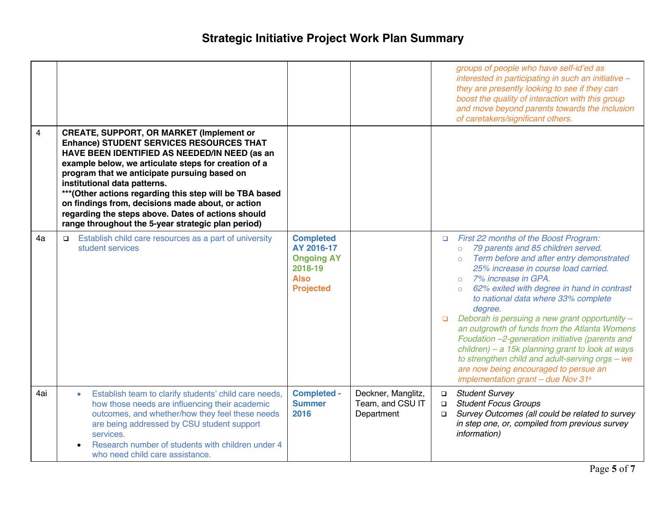|                |                                                                                                                                                                                                                                                                                                                                                                                                                                                                                                                          |                                                                                                   |                                                      |                                                                                                    | groups of people who have self-id'ed as<br>interested in participating in such an initiative -<br>they are presently looking to see if they can<br>boost the quality of interaction with this group<br>and move beyond parents towards the inclusion<br>of caretakers/significant others.                                                                                                                                                                                                                                                                                                                                   |
|----------------|--------------------------------------------------------------------------------------------------------------------------------------------------------------------------------------------------------------------------------------------------------------------------------------------------------------------------------------------------------------------------------------------------------------------------------------------------------------------------------------------------------------------------|---------------------------------------------------------------------------------------------------|------------------------------------------------------|----------------------------------------------------------------------------------------------------|-----------------------------------------------------------------------------------------------------------------------------------------------------------------------------------------------------------------------------------------------------------------------------------------------------------------------------------------------------------------------------------------------------------------------------------------------------------------------------------------------------------------------------------------------------------------------------------------------------------------------------|
| $\overline{4}$ | <b>CREATE, SUPPORT, OR MARKET (Implement or</b><br><b>Enhance) STUDENT SERVICES RESOURCES THAT</b><br>HAVE BEEN IDENTIFIED AS NEEDED/IN NEED (as an<br>example below, we articulate steps for creation of a<br>program that we anticipate pursuing based on<br>institutional data patterns.<br>*** (Other actions regarding this step will be TBA based<br>on findings from, decisions made about, or action<br>regarding the steps above. Dates of actions should<br>range throughout the 5-year strategic plan period) |                                                                                                   |                                                      |                                                                                                    |                                                                                                                                                                                                                                                                                                                                                                                                                                                                                                                                                                                                                             |
| 4a             | Establish child care resources as a part of university<br>$\Box$<br>student services                                                                                                                                                                                                                                                                                                                                                                                                                                     | <b>Completed</b><br>AY 2016-17<br><b>Ongoing AY</b><br>2018-19<br><b>Also</b><br><b>Projected</b> |                                                      | $\Box$<br>$\circ$<br>$\circ$<br>degree.<br>$\Box$                                                  | First 22 months of the Boost Program:<br>79 parents and 85 children served.<br>Term before and after entry demonstrated<br>25% increase in course load carried.<br>o 7% increase in GPA.<br>62% exited with degree in hand in contrast<br>to national data where 33% complete<br>Deborah is persuing a new grant opportuntity -<br>an outgrowth of funds from the Atlanta Womens<br>Foudation -2-generation initiative (parents and<br>children) - a 15k planning grant to look at ways<br>to strengthen child and adult-serving orgs - we<br>are now being encouraged to persue an<br>implementation grant - due Nov $31s$ |
| 4ai            | Establish team to clarify students' child care needs,<br>$\bullet$<br>how those needs are influencing their academic<br>outcomes, and whether/how they feel these needs<br>are being addressed by CSU student support<br>services.<br>Research number of students with children under 4<br>who need child care assistance.                                                                                                                                                                                               | <b>Completed -</b><br><b>Summer</b><br>2016                                                       | Deckner, Manglitz,<br>Team, and CSU IT<br>Department | <b>Student Survey</b><br>$\Box$<br><b>Student Focus Groups</b><br>$\Box$<br>$\Box$<br>information) | Survey Outcomes (all could be related to survey<br>in step one, or, compiled from previous survey                                                                                                                                                                                                                                                                                                                                                                                                                                                                                                                           |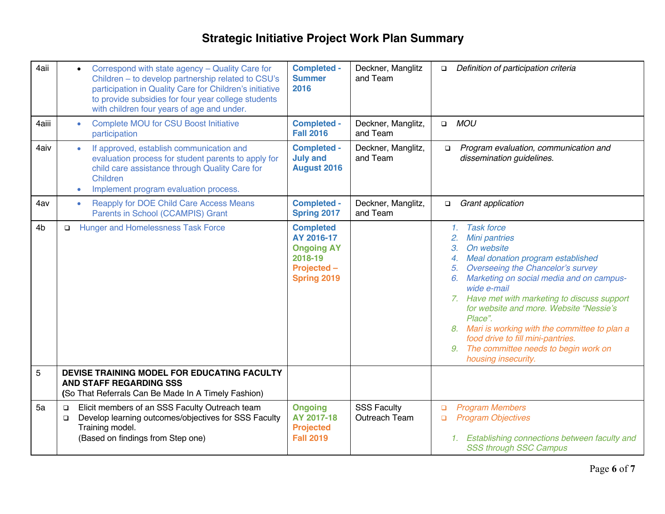| 4aii           | Correspond with state agency - Quality Care for<br>Children - to develop partnership related to CSU's<br>participation in Quality Care for Children's initiative<br>to provide subsidies for four year college students<br>with children four years of age and under. | <b>Completed -</b><br><b>Summer</b><br>2016                                                         | Deckner, Manglitz<br>and Team       | Definition of participation criteria<br>$\Box$                                                                                                                                                                                                                                                                                                                                                                                                                                                       |
|----------------|-----------------------------------------------------------------------------------------------------------------------------------------------------------------------------------------------------------------------------------------------------------------------|-----------------------------------------------------------------------------------------------------|-------------------------------------|------------------------------------------------------------------------------------------------------------------------------------------------------------------------------------------------------------------------------------------------------------------------------------------------------------------------------------------------------------------------------------------------------------------------------------------------------------------------------------------------------|
| 4aiii          | <b>Complete MOU for CSU Boost Initiative</b><br>participation                                                                                                                                                                                                         | <b>Completed -</b><br><b>Fall 2016</b>                                                              | Deckner, Manglitz,<br>and Team      | <b>MOU</b><br>$\Box$                                                                                                                                                                                                                                                                                                                                                                                                                                                                                 |
| 4aiv           | If approved, establish communication and<br>evaluation process for student parents to apply for<br>child care assistance through Quality Care for<br>Children<br>Implement program evaluation process.                                                                | <b>Completed -</b><br><b>July and</b><br><b>August 2016</b>                                         | Deckner, Manglitz,<br>and Team      | Program evaluation, communication and<br>$\Box$<br>dissemination guidelines.                                                                                                                                                                                                                                                                                                                                                                                                                         |
| 4av            | <b>Reapply for DOE Child Care Access Means</b><br>Parents in School (CCAMPIS) Grant                                                                                                                                                                                   | <b>Completed -</b><br><b>Spring 2017</b>                                                            | Deckner, Manglitz,<br>and Team      | Grant application<br>$\Box$                                                                                                                                                                                                                                                                                                                                                                                                                                                                          |
| 4 <sub>b</sub> | <b>Hunger and Homelessness Task Force</b><br>$\Box$                                                                                                                                                                                                                   | <b>Completed</b><br>AY 2016-17<br><b>Ongoing AY</b><br>2018-19<br>Projected -<br><b>Spring 2019</b> |                                     | <b>Task force</b><br>1.<br><b>Mini pantries</b><br>2.<br>On website<br>3.<br>Meal donation program established<br>4.<br>Overseeing the Chancelor's survey<br>5.<br>Marketing on social media and on campus-<br>6.<br>wide e-mail<br>7. Have met with marketing to discuss support<br>for website and more. Website "Nessie's<br>Place".<br>8. Mari is working with the committee to plan a<br>food drive to fill mini-pantries.<br>The committee needs to begin work on<br>9.<br>housing insecurity. |
| 5              | DEVISE TRAINING MODEL FOR EDUCATING FACULTY<br><b>AND STAFF REGARDING SSS</b><br>(So That Referrals Can Be Made In A Timely Fashion)                                                                                                                                  |                                                                                                     |                                     |                                                                                                                                                                                                                                                                                                                                                                                                                                                                                                      |
| 5a             | Elicit members of an SSS Faculty Outreach team<br>$\Box$<br>Develop learning outcomes/objectives for SSS Faculty<br>$\Box$<br>Training model.<br>(Based on findings from Step one)                                                                                    | <b>Ongoing</b><br>AY 2017-18<br><b>Projected</b><br><b>Fall 2019</b>                                | <b>SSS Faculty</b><br>Outreach Team | <b>Program Members</b><br>$\Box$<br><b>Program Objectives</b><br>$\Box$<br>1. Establishing connections between faculty and<br><b>SSS through SSC Campus</b>                                                                                                                                                                                                                                                                                                                                          |